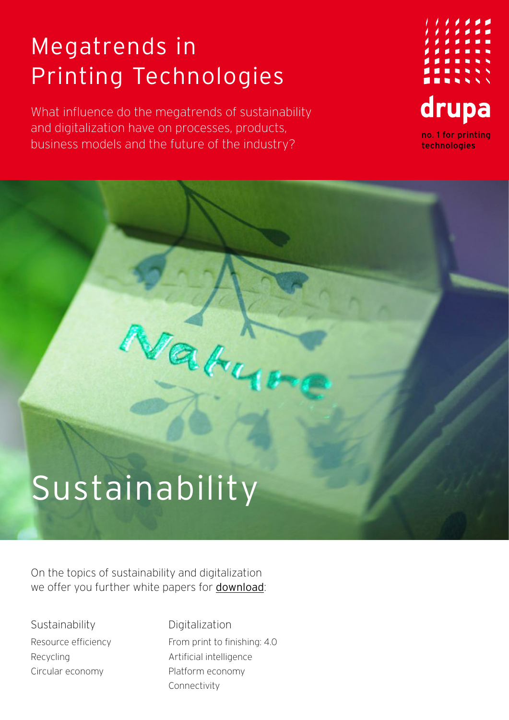### Megatrends in Printing Technologies

What influence do the megatrends of sustainability and digitalization have on processes, products, business models and the future of the industry?

Vaty



# Sustainability

On the topics of sustainability and digitalization we offer you further white papers for [download](https://www.drupa.com/drupa_maintopics_EN):

Sustainability Resource efficiency Recycling Circular economy

Digitalization From print to finishing: 4.0 Artificial intelligence Platform economy Connectivity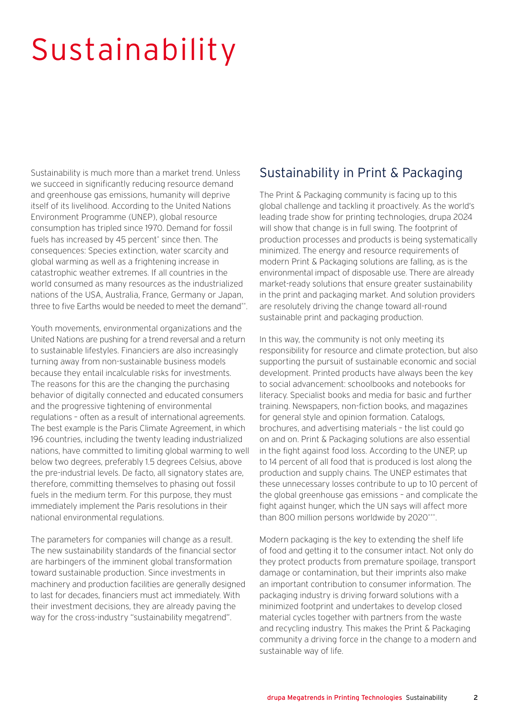## Sustainability

Sustainability is much more than a market trend. Unless we succeed in significantly reducing resource demand and greenhouse gas emissions, humanity will deprive itself of its livelihood. According to the United Nations Environment Programme (UNEP), global resource consumption has tripled since 1970. Demand for fossil fuels has increased by 45 percent\* since then. The consequences: Species extinction, water scarcity and global warming as well as a frightening increase in catastrophic weather extremes. If all countries in the world consumed as many resources as the industrialized nations of the USA, Australia, France, Germany or Japan, three to five Farths would be needed to meet the demand\*\*

Youth movements, environmental organizations and the United Nations are pushing for a trend reversal and a return to sustainable lifestyles. Financiers are also increasingly turning away from non-sustainable business models because they entail incalculable risks for investments. The reasons for this are the changing the purchasing behavior of digitally connected and educated consumers and the progressive tightening of environmental regulations – often as a result of international agreements. The best example is the Paris Climate Agreement, in which 196 countries, including the twenty leading industrialized nations, have committed to limiting global warming to well below two degrees, preferably 1.5 degrees Celsius, above the pre-industrial levels. De facto, all signatory states are, therefore, committing themselves to phasing out fossil fuels in the medium term. For this purpose, they must immediately implement the Paris resolutions in their national environmental regulations.

The parameters for companies will change as a result. The new sustainability standards of the financial sector are harbingers of the imminent global transformation toward sustainable production. Since investments in machinery and production facilities are generally designed to last for decades, financiers must act immediately. With their investment decisions, they are already paving the way for the cross-industry "sustainability megatrend".

#### Sustainability in Print & Packaging

The Print & Packaging community is facing up to this global challenge and tackling it proactively. As the world's leading trade show for printing technologies, drupa 2024 will show that change is in full swing. The footprint of production processes and products is being systematically minimized. The energy and resource requirements of modern Print & Packaging solutions are falling, as is the environmental impact of disposable use. There are already market-ready solutions that ensure greater sustainability in the print and packaging market. And solution providers are resolutely driving the change toward all-round sustainable print and packaging production.

In this way, the community is not only meeting its responsibility for resource and climate protection, but also supporting the pursuit of sustainable economic and social development. Printed products have always been the key to social advancement: schoolbooks and notebooks for literacy. Specialist books and media for basic and further training. Newspapers, non-fiction books, and magazines for general style and opinion formation. Catalogs, brochures, and advertising materials – the list could go on and on. Print & Packaging solutions are also essential in the fight against food loss. According to the UNEP, up to 14 percent of all food that is produced is lost along the production and supply chains. The UNEP estimates that these unnecessary losses contribute to up to 10 percent of the global greenhouse gas emissions – and complicate the fight against hunger, which the UN says will affect more than 800 million persons worldwide by 2020\*\*\*.

Modern packaging is the key to extending the shelf life of food and getting it to the consumer intact. Not only do they protect products from premature spoilage, transport damage or contamination, but their imprints also make an important contribution to consumer information. The packaging industry is driving forward solutions with a minimized footprint and undertakes to develop closed material cycles together with partners from the waste and recycling industry. This makes the Print & Packaging community a driving force in the change to a modern and sustainable way of life.